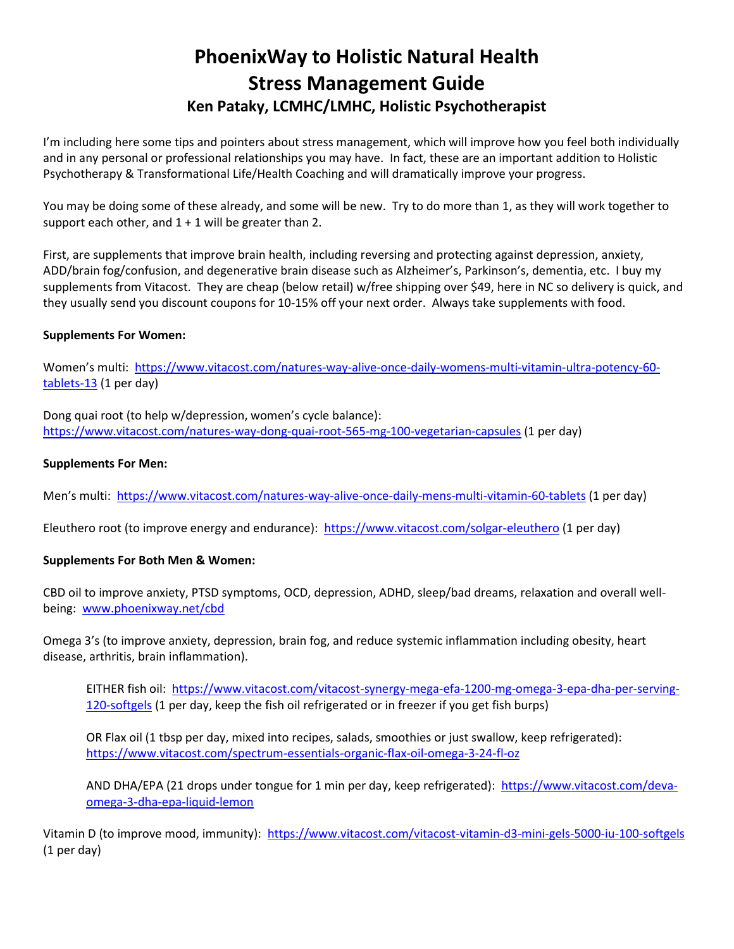## **PhoenixWay to Holistic Natural Health Stress Management Guide Ken Pataky, LCMHC/LMHC, Holistic Psychotherapist**

I'm including here some tips and pointers about stress management, which will improve how you feel both individually and in any personal or professional relationships you may have. In fact, these are an important addition to Holistic Psychotherapy & Transformational Life/Health Coaching and will dramatically improve your progress.

You may be doing some of these already, and some will be new. Try to do more than 1, as they will work together to support each other, and  $1 + 1$  will be greater than 2.

First, are supplements that improve brain health, including reversing and protecting against depression, anxiety, ADD/brain fog/confusion, and degenerative brain disease such as Alzheimer's, Parkinson's, dementia, etc. I buy my supplements from Vitacost. They are cheap (below retail) w/free shipping over \$49, here in NC so delivery is quick, and they usually send you discount coupons for 10-15% off your next order. Always take supplements with food.

## **Supplements For Women:**

Women's multi: [https://www.vitacost.com/natures-way-alive-once-daily-womens-multi-vitamin-ultra-potency-60](https://www.vitacost.com/natures-way-alive-once-daily-womens-multi-vitamin-ultra-potency-60-tablets-13) [tablets-13](https://www.vitacost.com/natures-way-alive-once-daily-womens-multi-vitamin-ultra-potency-60-tablets-13) (1 per day)

Dong quai root (to help w/depression, women's cycle balance): <https://www.vitacost.com/natures-way-dong-quai-root-565-mg-100-vegetarian-capsules> (1 per day)

## **Supplements For Men:**

Men's multi: <https://www.vitacost.com/natures-way-alive-once-daily-mens-multi-vitamin-60-tablets> (1 per day)

Eleuthero root (to improve energy and endurance): <https://www.vitacost.com/solgar-eleuthero> (1 per day)

## **Supplements For Both Men & Women:**

CBD oil to improve anxiety, PTSD symptoms, OCD, depression, ADHD, sleep/bad dreams, relaxation and overall wellbeing: [www.phoenixway.net/cbd](http://www.phoenixway.net/cbd)

Omega 3's (to improve anxiety, depression, brain fog, and reduce systemic inflammation including obesity, heart disease, arthritis, brain inflammation).

EITHER fish oil: [https://www.vitacost.com/vitacost-synergy-mega-efa-1200-mg-omega-3-epa-dha-per-serving-](https://www.vitacost.com/vitacost-synergy-mega-efa-1200-mg-omega-3-epa-dha-per-serving-120-softgels)[120-softgels](https://www.vitacost.com/vitacost-synergy-mega-efa-1200-mg-omega-3-epa-dha-per-serving-120-softgels) (1 per day, keep the fish oil refrigerated or in freezer if you get fish burps)

OR Flax oil (1 tbsp per day, mixed into recipes, salads, smoothies or just swallow, keep refrigerated): <https://www.vitacost.com/spectrum-essentials-organic-flax-oil-omega-3-24-fl-oz>

AND DHA/EPA (21 drops under tongue for 1 min per day, keep refrigerated): [https://www.vitacost.com/deva](https://www.vitacost.com/deva-omega-3-dha-epa-liquid-lemon)[omega-3-dha-epa-liquid-lemon](https://www.vitacost.com/deva-omega-3-dha-epa-liquid-lemon)

Vitamin D (to improve mood, immunity): <https://www.vitacost.com/vitacost-vitamin-d3-mini-gels-5000-iu-100-softgels> (1 per day)